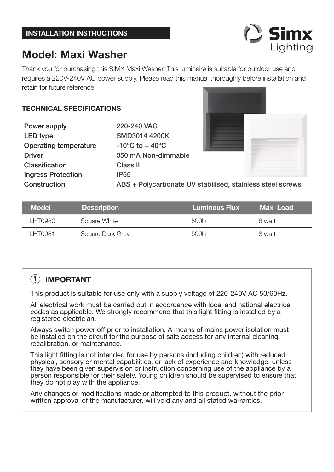# **Model: Maxi Washer**

Thank you for purchasing this SIMX Maxi Washer. This luminaire is suitable for outdoor use and requires a 220V-240V AC power supply. Please read this manual thoroughly before installation and retain for future reference.

### **TECHNICAL SPECIFICATIONS**

**Power supply 220-240 VAC LED type SMD3014 4200K Operating temperature -10°C to + 40°C Classifi cation Class II Ingress Protection IP55**

**Driver 350 mA Non-dimmable**

**Construction ABS + Polycarbonate UV stabilised, stainless steel screws**

| <b>Model</b> | <b>Description</b> |         | Max Load |
|--------------|--------------------|---------|----------|
| I HT0980     | Square White       | .500 lm | 8 watt   |
| I HT0981     | Square Dark Grey   | 500 lm  | 8 watt   |

## **IMPORTANT**

This product is suitable for use only with a supply voltage of 220-240V AC 50/60Hz.

All electrical work must be carried out in accordance with local and national electrical codes as applicable. We strongly recommend that this light fitting is installed by a registered electrician.

Always switch power off prior to installation. A means of mains power isolation must be installed on the circuit for the purpose of safe access for any internal cleaning, recalibration, or maintenance.

This light fitting is not intended for use by persons (including children) with reduced physical, sensory or mental capabilities, or lack of experience and knowledge, unless they have been given supervision or instruction concerning use of the appliance by a person responsible for their safety. Young children should be supervised to ensure that they do not play with the appliance.

Any changes or modifications made or attempted to this product, without the prior written approval of the manufacturer, will void any and all stated warranties.